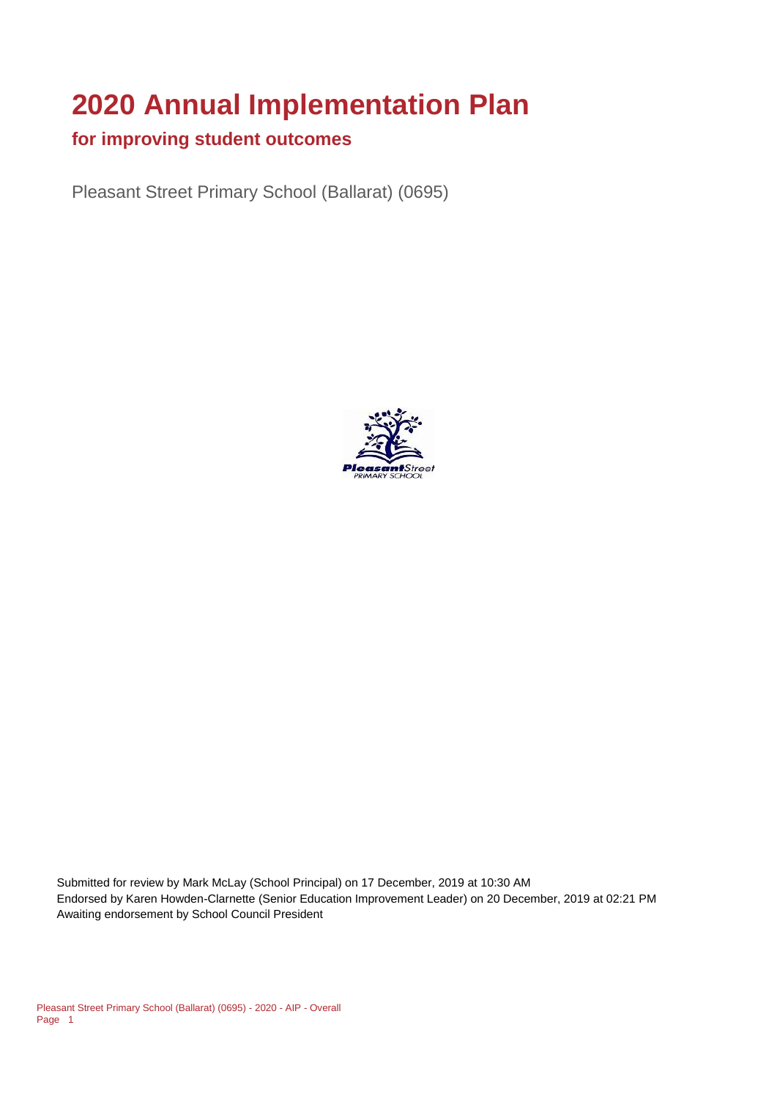# **2020 Annual Implementation Plan**

#### **for improving student outcomes**

Pleasant Street Primary School (Ballarat) (0695)



Submitted for review by Mark McLay (School Principal) on 17 December, 2019 at 10:30 AM Endorsed by Karen Howden-Clarnette (Senior Education Improvement Leader) on 20 December, 2019 at 02:21 PM Awaiting endorsement by School Council President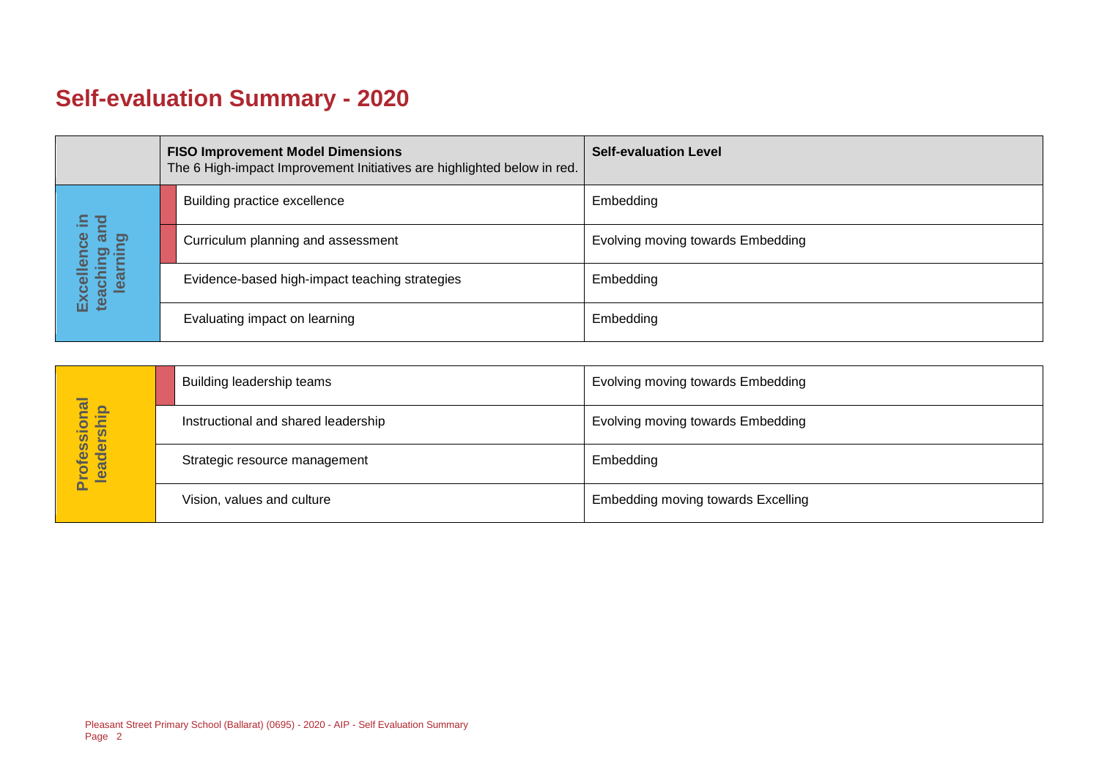## **Self-evaluation Summary - 2020**

|  |                             | <b>FISO Improvement Model Dimensions</b><br>The 6 High-impact Improvement Initiatives are highlighted below in red. | <b>Self-evaluation Level</b>      |
|--|-----------------------------|---------------------------------------------------------------------------------------------------------------------|-----------------------------------|
|  | 요.<br><b>D</b>              | Building practice excellence                                                                                        | Embedding                         |
|  | ౚఀ<br>aching ar<br>learning | Curriculum planning and assessment                                                                                  | Evolving moving towards Embedding |
|  | Excellence<br>teaching ar   | Evidence-based high-impact teaching strategies                                                                      | Embedding                         |
|  |                             | Evaluating impact on learning                                                                                       | Embedding                         |

|                            | Building leadership teams           | Evolving moving towards Embedding         |
|----------------------------|-------------------------------------|-------------------------------------------|
|                            | Instructional and shared leadership | Evolving moving towards Embedding         |
| Professional<br>leadership | Strategic resource management       | Embedding                                 |
|                            | Vision, values and culture          | <b>Embedding moving towards Excelling</b> |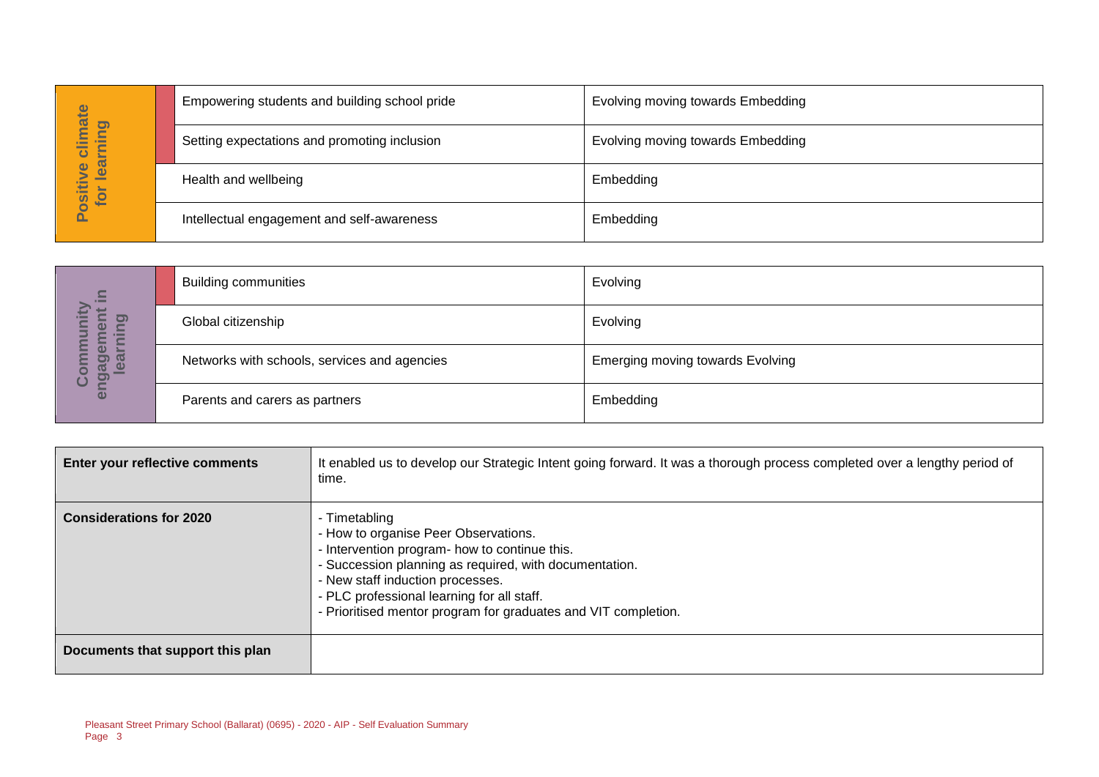|                                      | Empowering students and building school pride | <b>Evolving moving towards Embedding</b> |
|--------------------------------------|-----------------------------------------------|------------------------------------------|
| imate<br>pnin<br>►<br>$\overline{c}$ | Setting expectations and promoting inclusion  | Evolving moving towards Embedding        |
| lear<br>$\bullet$<br>Positiv<br>for  | Health and wellbeing                          | Embedding                                |
|                                      | Intellectual engagement and self-awareness    | Embedding                                |

| $\subseteq$<br>$\sim$                              | <b>Building communities</b>                  | Evolving                                |
|----------------------------------------------------|----------------------------------------------|-----------------------------------------|
| 0<br>O)<br><b>E</b>                                | Global citizenship                           | Evolving                                |
| ō<br><b>GO</b><br>91<br>$\bullet$<br><u>ත</u><br>ပ | Networks with schools, services and agencies | <b>Emerging moving towards Evolving</b> |
| E                                                  | Parents and carers as partners               | Embedding                               |

|                                  |                                              | Empowering students and building school pride                                                                                                                                                                                                                                                                        | EVOIVING MOVING towards Embedding |  |
|----------------------------------|----------------------------------------------|----------------------------------------------------------------------------------------------------------------------------------------------------------------------------------------------------------------------------------------------------------------------------------------------------------------------|-----------------------------------|--|
| Positive climate<br>for learning |                                              | Setting expectations and promoting inclusion                                                                                                                                                                                                                                                                         | Evolving moving towards Embedding |  |
|                                  | Health and wellbeing                         |                                                                                                                                                                                                                                                                                                                      | Embedding                         |  |
|                                  |                                              | Intellectual engagement and self-awareness                                                                                                                                                                                                                                                                           | Embedding                         |  |
|                                  |                                              |                                                                                                                                                                                                                                                                                                                      |                                   |  |
|                                  | <b>Building communities</b>                  |                                                                                                                                                                                                                                                                                                                      | Evolving                          |  |
| learning                         | Global citizenship                           |                                                                                                                                                                                                                                                                                                                      | Evolving                          |  |
| engagement in<br>Community       | Networks with schools, services and agencies |                                                                                                                                                                                                                                                                                                                      | Emerging moving towards Evolving  |  |
|                                  | Parents and carers as partners               |                                                                                                                                                                                                                                                                                                                      | Embedding                         |  |
|                                  |                                              |                                                                                                                                                                                                                                                                                                                      |                                   |  |
|                                  | Enter your reflective comments               | It enabled us to develop our Strategic Intent going forward. It was a thorough process completed over a lengthy period of<br>time.                                                                                                                                                                                   |                                   |  |
| <b>Considerations for 2020</b>   |                                              | - Timetabling<br>- How to organise Peer Observations.<br>- Intervention program- how to continue this.<br>- Succession planning as required, with documentation.<br>- New staff induction processes.<br>- PLC professional learning for all staff.<br>- Prioritised mentor program for graduates and VIT completion. |                                   |  |
|                                  | Documents that support this plan             |                                                                                                                                                                                                                                                                                                                      |                                   |  |
| Page 3                           |                                              | Pleasant Street Primary School (Ballarat) (0695) - 2020 - AIP - Self Evaluation Summary                                                                                                                                                                                                                              |                                   |  |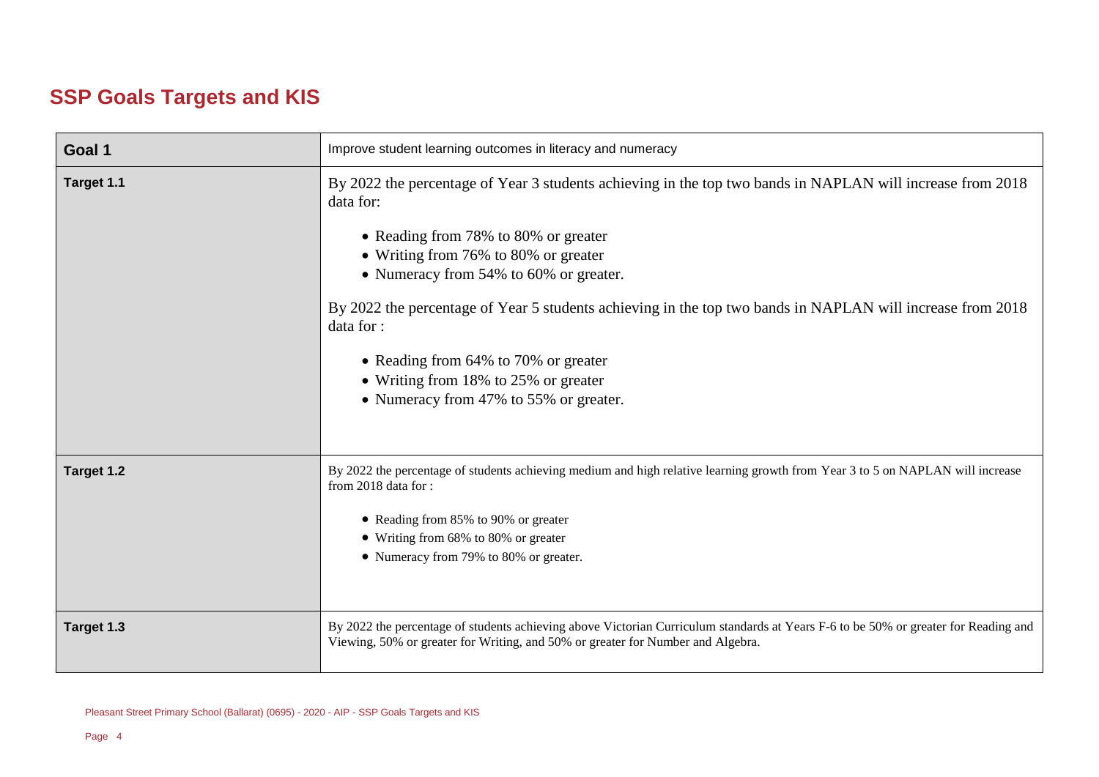## **SSP Goals Targets and KIS**

| Goal 1     | Improve student learning outcomes in literacy and numeracy                                                                                                                                                                                                                                                                                                                                                                                                                                             |  |  |
|------------|--------------------------------------------------------------------------------------------------------------------------------------------------------------------------------------------------------------------------------------------------------------------------------------------------------------------------------------------------------------------------------------------------------------------------------------------------------------------------------------------------------|--|--|
| Target 1.1 | By 2022 the percentage of Year 3 students achieving in the top two bands in NAPLAN will increase from 2018<br>data for:<br>• Reading from 78% to 80% or greater<br>• Writing from 76% to 80% or greater<br>• Numeracy from 54% to 60% or greater.<br>By 2022 the percentage of Year 5 students achieving in the top two bands in NAPLAN will increase from 2018<br>data for:<br>• Reading from 64% to 70% or greater<br>• Writing from 18% to 25% or greater<br>• Numeracy from 47% to 55% or greater. |  |  |
| Target 1.2 | By 2022 the percentage of students achieving medium and high relative learning growth from Year 3 to 5 on NAPLAN will increase<br>from 2018 data for:<br>• Reading from 85% to 90% or greater<br>• Writing from 68% to 80% or greater<br>• Numeracy from 79% to 80% or greater.                                                                                                                                                                                                                        |  |  |
| Target 1.3 | By 2022 the percentage of students achieving above Victorian Curriculum standards at Years F-6 to be 50% or greater for Reading and<br>Viewing, 50% or greater for Writing, and 50% or greater for Number and Algebra.                                                                                                                                                                                                                                                                                 |  |  |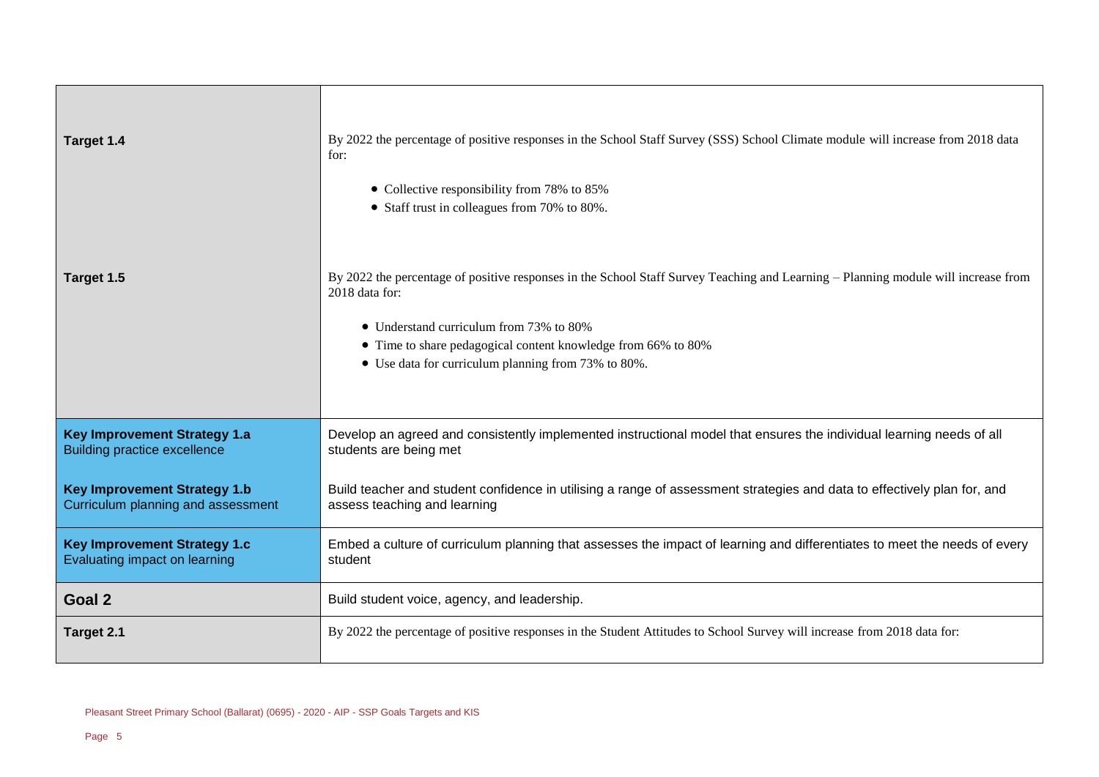| Target 1.4                                                                 | By 2022 the percentage of positive responses in the School Staff Survey (SSS) School Climate module will increase from 2018 data<br>for:                 |  |
|----------------------------------------------------------------------------|----------------------------------------------------------------------------------------------------------------------------------------------------------|--|
|                                                                            | • Collective responsibility from 78% to 85%<br>• Staff trust in colleagues from 70% to 80%.                                                              |  |
|                                                                            |                                                                                                                                                          |  |
| Target 1.5                                                                 | By 2022 the percentage of positive responses in the School Staff Survey Teaching and Learning - Planning module will increase from<br>2018 data for:     |  |
|                                                                            | • Understand curriculum from 73% to 80%                                                                                                                  |  |
|                                                                            | • Time to share pedagogical content knowledge from 66% to 80%<br>• Use data for curriculum planning from 73% to 80%.                                     |  |
|                                                                            |                                                                                                                                                          |  |
| <b>Key Improvement Strategy 1.a</b><br><b>Building practice excellence</b> | Develop an agreed and consistently implemented instructional model that ensures the individual learning needs of all<br>students are being met           |  |
| <b>Key Improvement Strategy 1.b</b><br>Curriculum planning and assessment  | Build teacher and student confidence in utilising a range of assessment strategies and data to effectively plan for, and<br>assess teaching and learning |  |
| <b>Key Improvement Strategy 1.c</b><br>Evaluating impact on learning       | Embed a culture of curriculum planning that assesses the impact of learning and differentiates to meet the needs of every<br>student                     |  |
| Goal 2                                                                     | Build student voice, agency, and leadership.                                                                                                             |  |
| Target 2.1                                                                 | By 2022 the percentage of positive responses in the Student Attitudes to School Survey will increase from 2018 data for:                                 |  |

 $\blacksquare$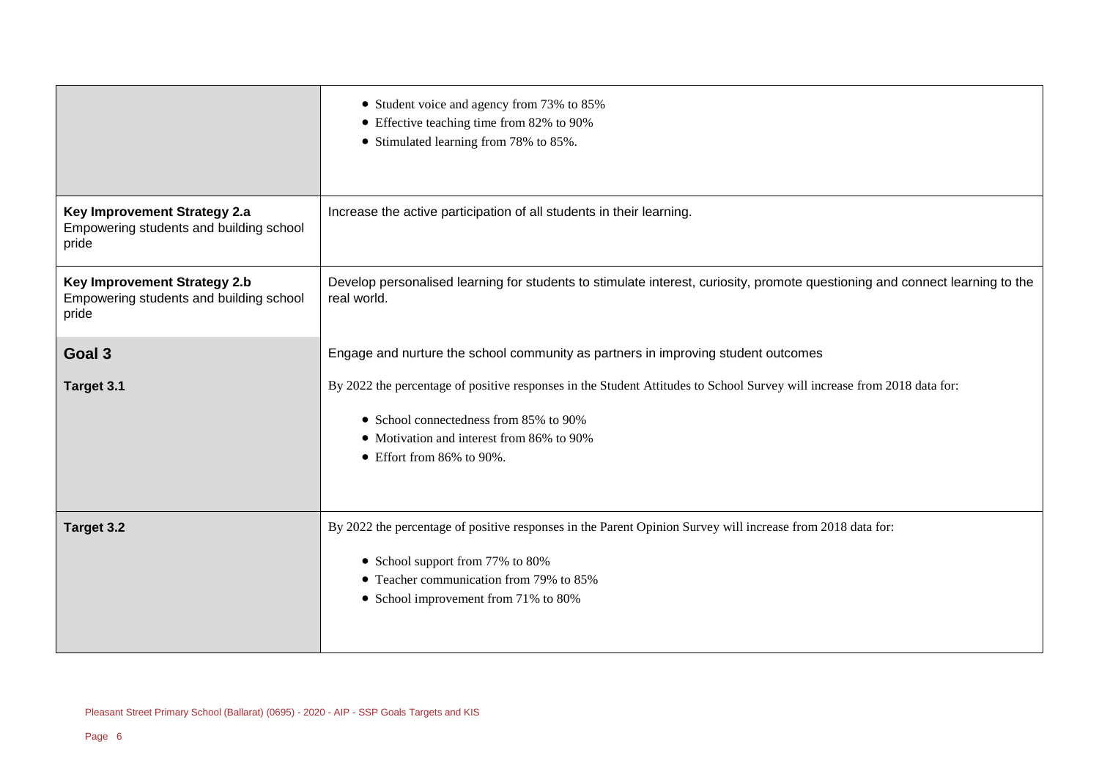|                                                                                         | • Student voice and agency from 73% to 85%<br>• Effective teaching time from 82% to 90%<br>• Stimulated learning from 78% to 85%.                                                                                                                    |  |  |
|-----------------------------------------------------------------------------------------|------------------------------------------------------------------------------------------------------------------------------------------------------------------------------------------------------------------------------------------------------|--|--|
| Key Improvement Strategy 2.a<br>Empowering students and building school<br>pride        | Increase the active participation of all students in their learning.                                                                                                                                                                                 |  |  |
| <b>Key Improvement Strategy 2.b</b><br>Empowering students and building school<br>pride | Develop personalised learning for students to stimulate interest, curiosity, promote questioning and connect learning to the<br>real world.                                                                                                          |  |  |
| Goal 3                                                                                  | Engage and nurture the school community as partners in improving student outcomes                                                                                                                                                                    |  |  |
| Target 3.1                                                                              | By 2022 the percentage of positive responses in the Student Attitudes to School Survey will increase from 2018 data for:<br>• School connectedness from 85% to 90%<br>• Motivation and interest from 86% to 90%<br>$\bullet$ Effort from 86% to 90%. |  |  |
| Target 3.2                                                                              | By 2022 the percentage of positive responses in the Parent Opinion Survey will increase from 2018 data for:<br>• School support from 77% to 80%<br>• Teacher communication from 79% to 85%<br>• School improvement from 71% to 80%                   |  |  |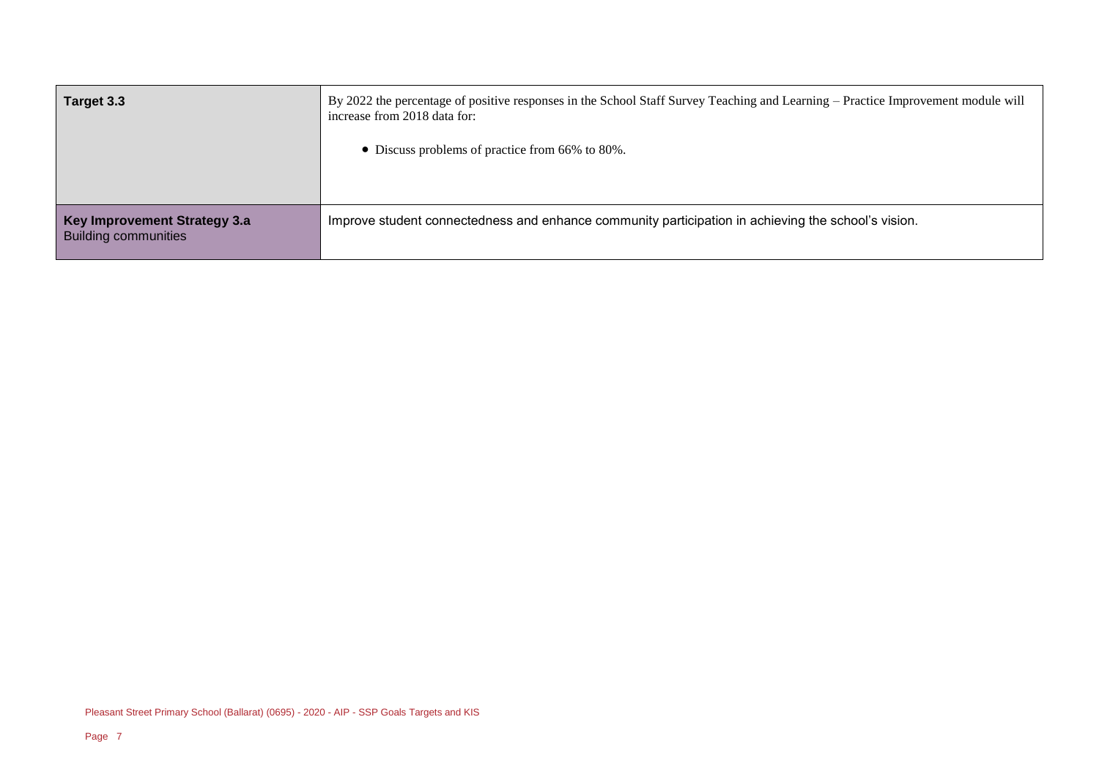| Target 3.3                                                  | By 2022 the percentage of positive responses in the School Staff Survey Teaching and Learning – Practice Improvement module will<br>increase from 2018 data for:<br>• Discuss problems of practice from 66% to 80%. |
|-------------------------------------------------------------|---------------------------------------------------------------------------------------------------------------------------------------------------------------------------------------------------------------------|
| Key Improvement Strategy 3.a<br><b>Building communities</b> | Improve student connectedness and enhance community participation in achieving the school's vision.                                                                                                                 |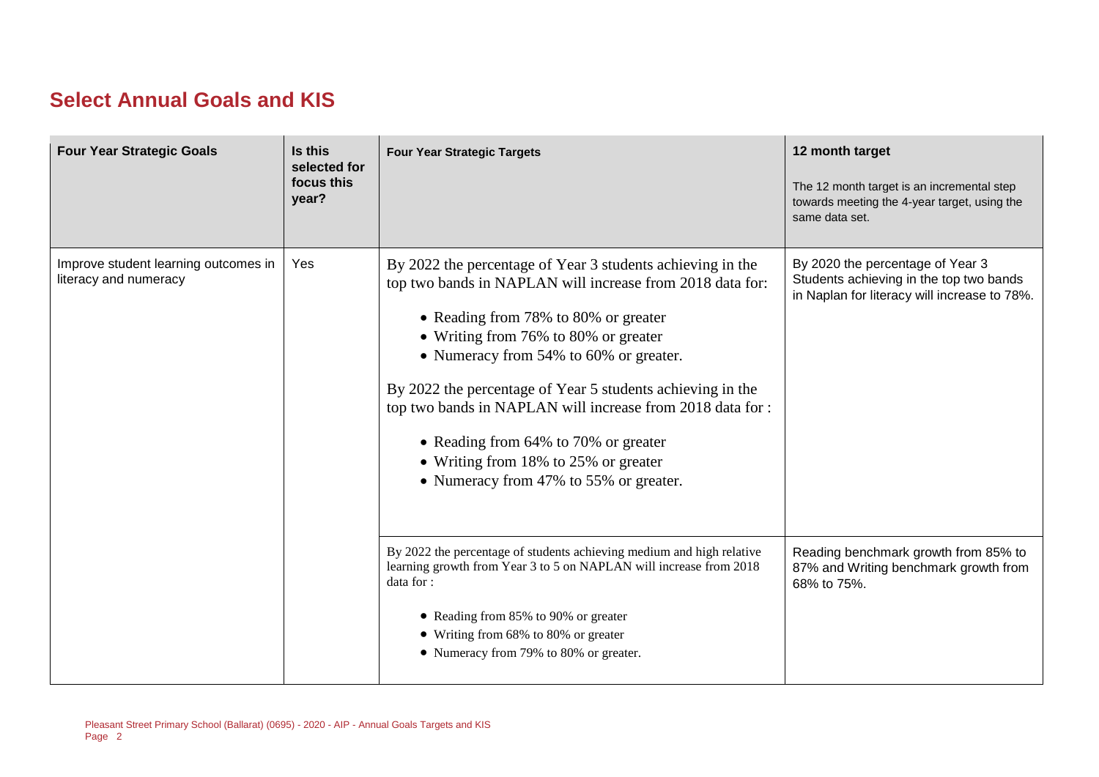### **Select Annual Goals and KIS**

| <b>Four Year Strategic Goals</b>                              | Is this<br>selected for<br>focus this<br>year? | <b>Four Year Strategic Targets</b>                                                                                                                                                                                                                                                                                                                                                                                                                                                                      | 12 month target<br>The 12 month target is an incremental step<br>towards meeting the 4-year target, using the<br>same data set. |
|---------------------------------------------------------------|------------------------------------------------|---------------------------------------------------------------------------------------------------------------------------------------------------------------------------------------------------------------------------------------------------------------------------------------------------------------------------------------------------------------------------------------------------------------------------------------------------------------------------------------------------------|---------------------------------------------------------------------------------------------------------------------------------|
| Improve student learning outcomes in<br>literacy and numeracy | Yes                                            | By 2022 the percentage of Year 3 students achieving in the<br>top two bands in NAPLAN will increase from 2018 data for:<br>• Reading from 78% to 80% or greater<br>• Writing from 76% to 80% or greater<br>• Numeracy from 54% to 60% or greater.<br>By 2022 the percentage of Year 5 students achieving in the<br>top two bands in NAPLAN will increase from 2018 data for :<br>• Reading from 64% to 70% or greater<br>• Writing from 18% to 25% or greater<br>• Numeracy from 47% to 55% or greater. | By 2020 the percentage of Year 3<br>Students achieving in the top two bands<br>in Naplan for literacy will increase to 78%.     |
|                                                               |                                                | By 2022 the percentage of students achieving medium and high relative<br>learning growth from Year 3 to 5 on NAPLAN will increase from 2018<br>data for :<br>• Reading from 85% to 90% or greater<br>• Writing from 68% to 80% or greater<br>• Numeracy from 79% to 80% or greater.                                                                                                                                                                                                                     | Reading benchmark growth from 85% to<br>87% and Writing benchmark growth from<br>68% to 75%.                                    |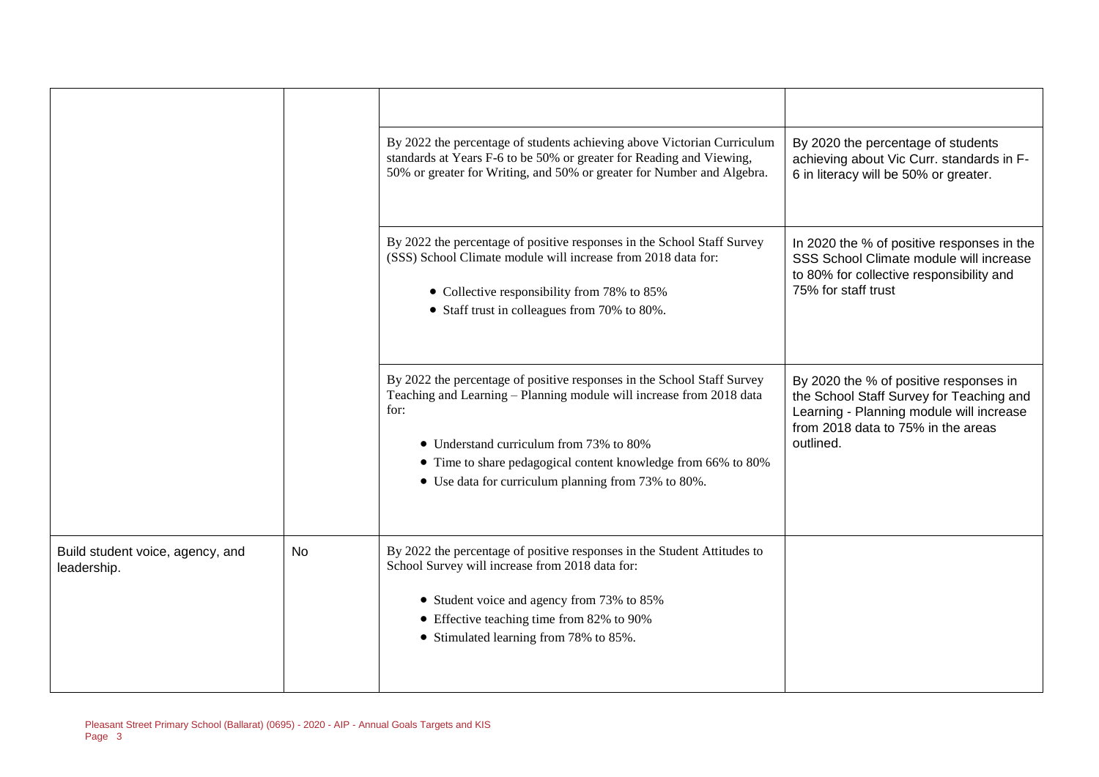|                                                 |    | By 2022 the percentage of students achieving above Victorian Curriculum<br>standards at Years F-6 to be 50% or greater for Reading and Viewing,<br>50% or greater for Writing, and 50% or greater for Number and Algebra.                                                                                                  | By 2020 the percentage of students<br>achieving about Vic Curr. standards in F-<br>6 in literacy will be 50% or greater.                                                          |
|-------------------------------------------------|----|----------------------------------------------------------------------------------------------------------------------------------------------------------------------------------------------------------------------------------------------------------------------------------------------------------------------------|-----------------------------------------------------------------------------------------------------------------------------------------------------------------------------------|
|                                                 |    | By 2022 the percentage of positive responses in the School Staff Survey<br>(SSS) School Climate module will increase from 2018 data for:<br>• Collective responsibility from 78% to 85%<br>• Staff trust in colleagues from 70% to 80%.                                                                                    | In 2020 the % of positive responses in the<br>SSS School Climate module will increase<br>to 80% for collective responsibility and<br>75% for staff trust                          |
|                                                 |    | By 2022 the percentage of positive responses in the School Staff Survey<br>Teaching and Learning - Planning module will increase from 2018 data<br>for:<br>• Understand curriculum from 73% to 80%<br>• Time to share pedagogical content knowledge from 66% to 80%<br>• Use data for curriculum planning from 73% to 80%. | By 2020 the % of positive responses in<br>the School Staff Survey for Teaching and<br>Learning - Planning module will increase<br>from 2018 data to 75% in the areas<br>outlined. |
| Build student voice, agency, and<br>leadership. | No | By 2022 the percentage of positive responses in the Student Attitudes to<br>School Survey will increase from 2018 data for:<br>• Student voice and agency from 73% to 85%<br>• Effective teaching time from 82% to 90%<br>• Stimulated learning from 78% to 85%.                                                           |                                                                                                                                                                                   |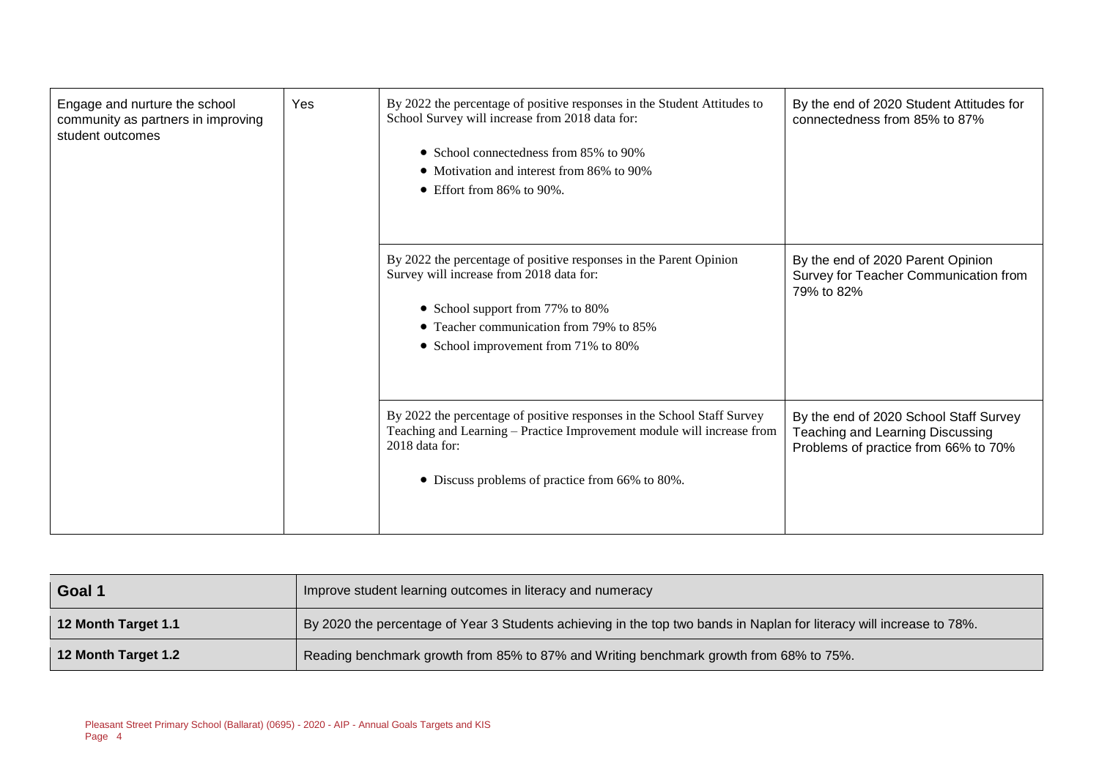| Engage and nurture the school<br>community as partners in improving<br>student outcomes | Yes | By 2022 the percentage of positive responses in the Student Attitudes to<br>School Survey will increase from 2018 data for:<br>• School connectedness from 85% to 90%<br>• Motivation and interest from 86% to 90%<br>$\bullet$ Effort from 86% to 90%. | By the end of 2020 Student Attitudes for<br>connectedness from 85% to 87%                                          |
|-----------------------------------------------------------------------------------------|-----|---------------------------------------------------------------------------------------------------------------------------------------------------------------------------------------------------------------------------------------------------------|--------------------------------------------------------------------------------------------------------------------|
|                                                                                         |     | By 2022 the percentage of positive responses in the Parent Opinion<br>Survey will increase from 2018 data for:<br>• School support from 77% to 80%<br>• Teacher communication from 79% to 85%<br>• School improvement from 71% to 80%                   | By the end of 2020 Parent Opinion<br>Survey for Teacher Communication from<br>79% to 82%                           |
|                                                                                         |     | By 2022 the percentage of positive responses in the School Staff Survey<br>Teaching and Learning - Practice Improvement module will increase from<br>$2018$ data for:<br>• Discuss problems of practice from 66% to 80%.                                | By the end of 2020 School Staff Survey<br>Teaching and Learning Discussing<br>Problems of practice from 66% to 70% |

| Goal 1              | Improve student learning outcomes in literacy and numeracy                                                            |
|---------------------|-----------------------------------------------------------------------------------------------------------------------|
| 12 Month Target 1.1 | By 2020 the percentage of Year 3 Students achieving in the top two bands in Naplan for literacy will increase to 78%. |
| 12 Month Target 1.2 | Reading benchmark growth from 85% to 87% and Writing benchmark growth from 68% to 75%.                                |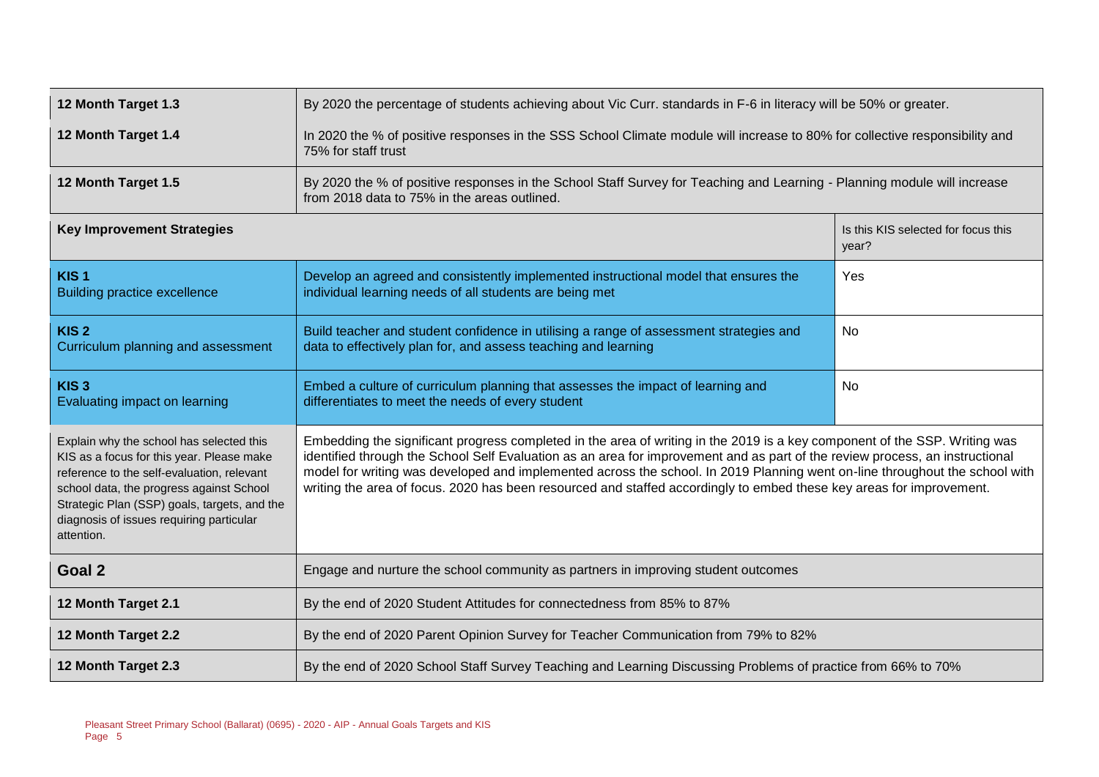| 12 Month Target 1.3                                                                                                                                                                                                                                                                       | By 2020 the percentage of students achieving about Vic Curr. standards in F-6 in literacy will be 50% or greater.                                                                                                                                                                                                                                                                                                                                                                                                 |                                              |  |  |  |  |
|-------------------------------------------------------------------------------------------------------------------------------------------------------------------------------------------------------------------------------------------------------------------------------------------|-------------------------------------------------------------------------------------------------------------------------------------------------------------------------------------------------------------------------------------------------------------------------------------------------------------------------------------------------------------------------------------------------------------------------------------------------------------------------------------------------------------------|----------------------------------------------|--|--|--|--|
| 12 Month Target 1.4                                                                                                                                                                                                                                                                       | In 2020 the % of positive responses in the SSS School Climate module will increase to 80% for collective responsibility and<br>75% for staff trust                                                                                                                                                                                                                                                                                                                                                                |                                              |  |  |  |  |
| 12 Month Target 1.5                                                                                                                                                                                                                                                                       | By 2020 the % of positive responses in the School Staff Survey for Teaching and Learning - Planning module will increase<br>from 2018 data to 75% in the areas outlined.                                                                                                                                                                                                                                                                                                                                          |                                              |  |  |  |  |
| <b>Key Improvement Strategies</b>                                                                                                                                                                                                                                                         |                                                                                                                                                                                                                                                                                                                                                                                                                                                                                                                   | Is this KIS selected for focus this<br>year? |  |  |  |  |
| KIS <sub>1</sub><br><b>Building practice excellence</b>                                                                                                                                                                                                                                   | Develop an agreed and consistently implemented instructional model that ensures the<br>individual learning needs of all students are being met                                                                                                                                                                                                                                                                                                                                                                    | Yes                                          |  |  |  |  |
| KIS <sub>2</sub><br>Curriculum planning and assessment                                                                                                                                                                                                                                    | Build teacher and student confidence in utilising a range of assessment strategies and<br>data to effectively plan for, and assess teaching and learning                                                                                                                                                                                                                                                                                                                                                          | <b>No</b>                                    |  |  |  |  |
| KIS <sub>3</sub><br>Evaluating impact on learning                                                                                                                                                                                                                                         | Embed a culture of curriculum planning that assesses the impact of learning and<br>No<br>differentiates to meet the needs of every student                                                                                                                                                                                                                                                                                                                                                                        |                                              |  |  |  |  |
| Explain why the school has selected this<br>KIS as a focus for this year. Please make<br>reference to the self-evaluation, relevant<br>school data, the progress against School<br>Strategic Plan (SSP) goals, targets, and the<br>diagnosis of issues requiring particular<br>attention. | Embedding the significant progress completed in the area of writing in the 2019 is a key component of the SSP. Writing was<br>identified through the School Self Evaluation as an area for improvement and as part of the review process, an instructional<br>model for writing was developed and implemented across the school. In 2019 Planning went on-line throughout the school with<br>writing the area of focus. 2020 has been resourced and staffed accordingly to embed these key areas for improvement. |                                              |  |  |  |  |
| Goal 2                                                                                                                                                                                                                                                                                    | Engage and nurture the school community as partners in improving student outcomes                                                                                                                                                                                                                                                                                                                                                                                                                                 |                                              |  |  |  |  |
| 12 Month Target 2.1                                                                                                                                                                                                                                                                       | By the end of 2020 Student Attitudes for connectedness from 85% to 87%                                                                                                                                                                                                                                                                                                                                                                                                                                            |                                              |  |  |  |  |
| 12 Month Target 2.2                                                                                                                                                                                                                                                                       | By the end of 2020 Parent Opinion Survey for Teacher Communication from 79% to 82%                                                                                                                                                                                                                                                                                                                                                                                                                                |                                              |  |  |  |  |
| 12 Month Target 2.3                                                                                                                                                                                                                                                                       | By the end of 2020 School Staff Survey Teaching and Learning Discussing Problems of practice from 66% to 70%                                                                                                                                                                                                                                                                                                                                                                                                      |                                              |  |  |  |  |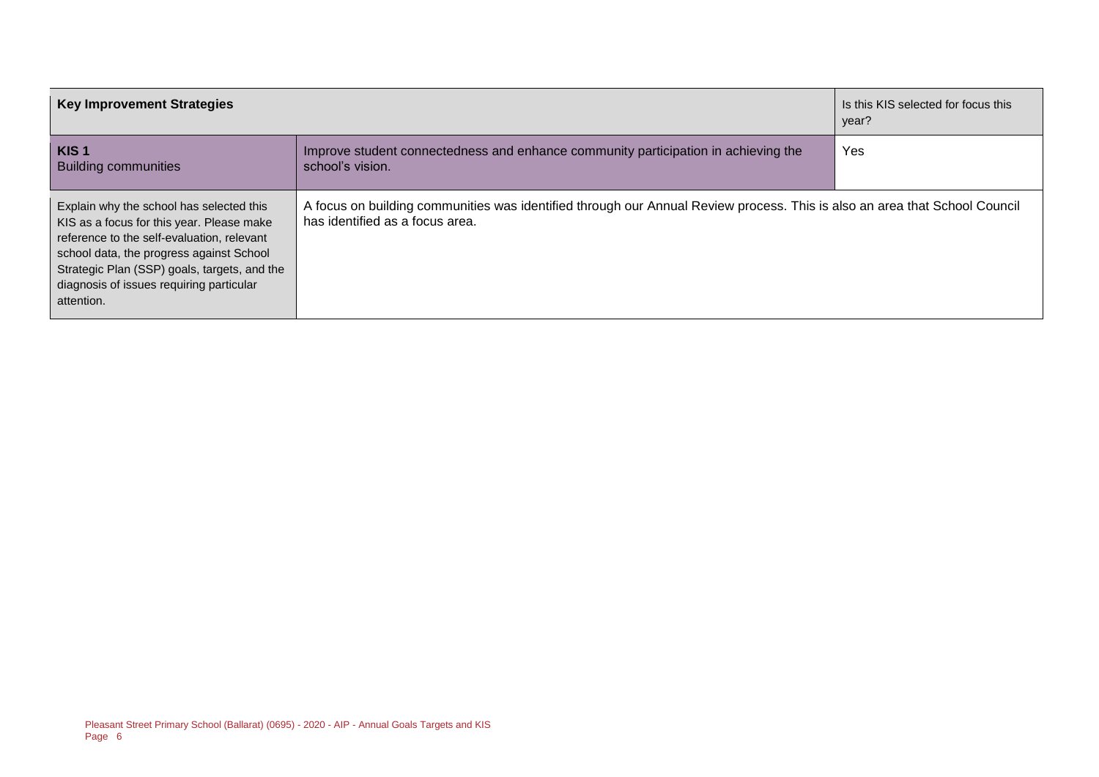| <b>Key Improvement Strategies</b>                                                                                                                                                                                                                                                         |                                                                                                                                                               | Is this KIS selected for focus this<br>year? |
|-------------------------------------------------------------------------------------------------------------------------------------------------------------------------------------------------------------------------------------------------------------------------------------------|---------------------------------------------------------------------------------------------------------------------------------------------------------------|----------------------------------------------|
| KIS <sub>1</sub><br><b>Building communities</b>                                                                                                                                                                                                                                           | Improve student connectedness and enhance community participation in achieving the<br>school's vision.                                                        | Yes                                          |
| Explain why the school has selected this<br>KIS as a focus for this year. Please make<br>reference to the self-evaluation, relevant<br>school data, the progress against School<br>Strategic Plan (SSP) goals, targets, and the<br>diagnosis of issues requiring particular<br>attention. | A focus on building communities was identified through our Annual Review process. This is also an area that School Council<br>has identified as a focus area. |                                              |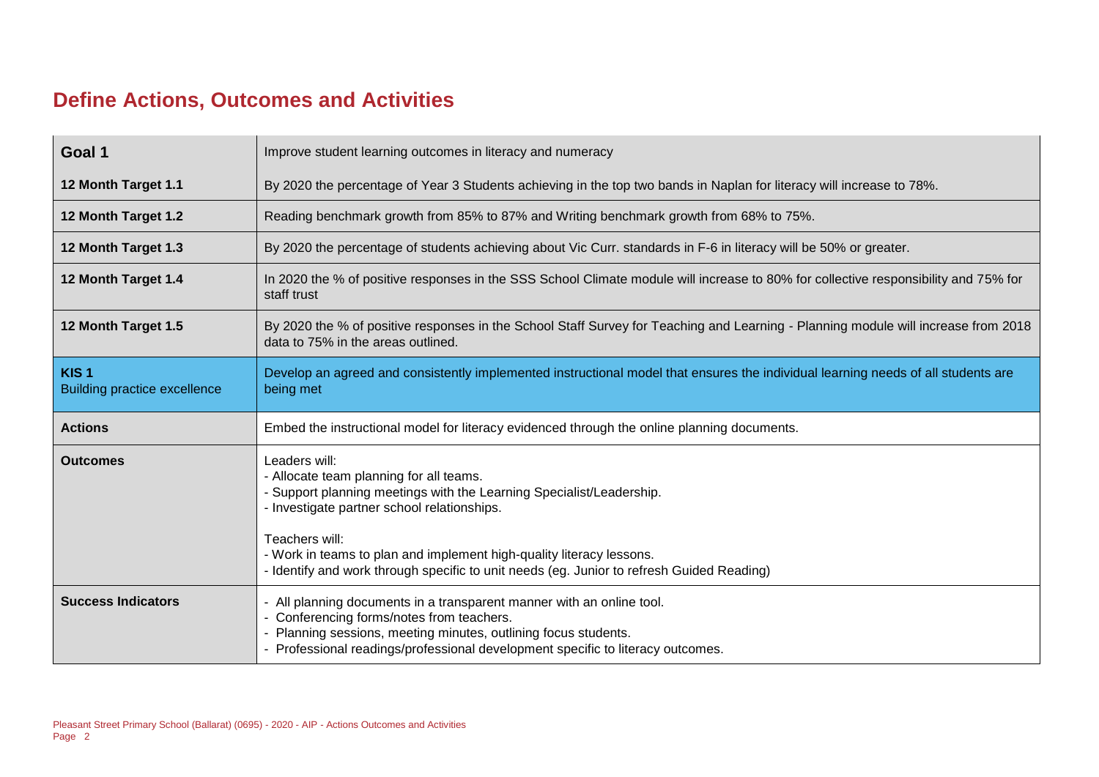#### **Define Actions, Outcomes and Activities**

| Goal 1                                                  | Improve student learning outcomes in literacy and numeracy                                                                                                                                                                                                                                                                                                             |
|---------------------------------------------------------|------------------------------------------------------------------------------------------------------------------------------------------------------------------------------------------------------------------------------------------------------------------------------------------------------------------------------------------------------------------------|
| 12 Month Target 1.1                                     | By 2020 the percentage of Year 3 Students achieving in the top two bands in Naplan for literacy will increase to 78%.                                                                                                                                                                                                                                                  |
| 12 Month Target 1.2                                     | Reading benchmark growth from 85% to 87% and Writing benchmark growth from 68% to 75%.                                                                                                                                                                                                                                                                                 |
| 12 Month Target 1.3                                     | By 2020 the percentage of students achieving about Vic Curr. standards in F-6 in literacy will be 50% or greater.                                                                                                                                                                                                                                                      |
| 12 Month Target 1.4                                     | In 2020 the % of positive responses in the SSS School Climate module will increase to 80% for collective responsibility and 75% for<br>staff trust                                                                                                                                                                                                                     |
| 12 Month Target 1.5                                     | By 2020 the % of positive responses in the School Staff Survey for Teaching and Learning - Planning module will increase from 2018<br>data to 75% in the areas outlined.                                                                                                                                                                                               |
| KIS <sub>1</sub><br><b>Building practice excellence</b> | Develop an agreed and consistently implemented instructional model that ensures the individual learning needs of all students are<br>being met                                                                                                                                                                                                                         |
|                                                         |                                                                                                                                                                                                                                                                                                                                                                        |
| <b>Actions</b>                                          | Embed the instructional model for literacy evidenced through the online planning documents.                                                                                                                                                                                                                                                                            |
| <b>Outcomes</b>                                         | Leaders will:<br>- Allocate team planning for all teams.<br>- Support planning meetings with the Learning Specialist/Leadership.<br>- Investigate partner school relationships.<br>Teachers will:<br>- Work in teams to plan and implement high-quality literacy lessons.<br>- Identify and work through specific to unit needs (eg. Junior to refresh Guided Reading) |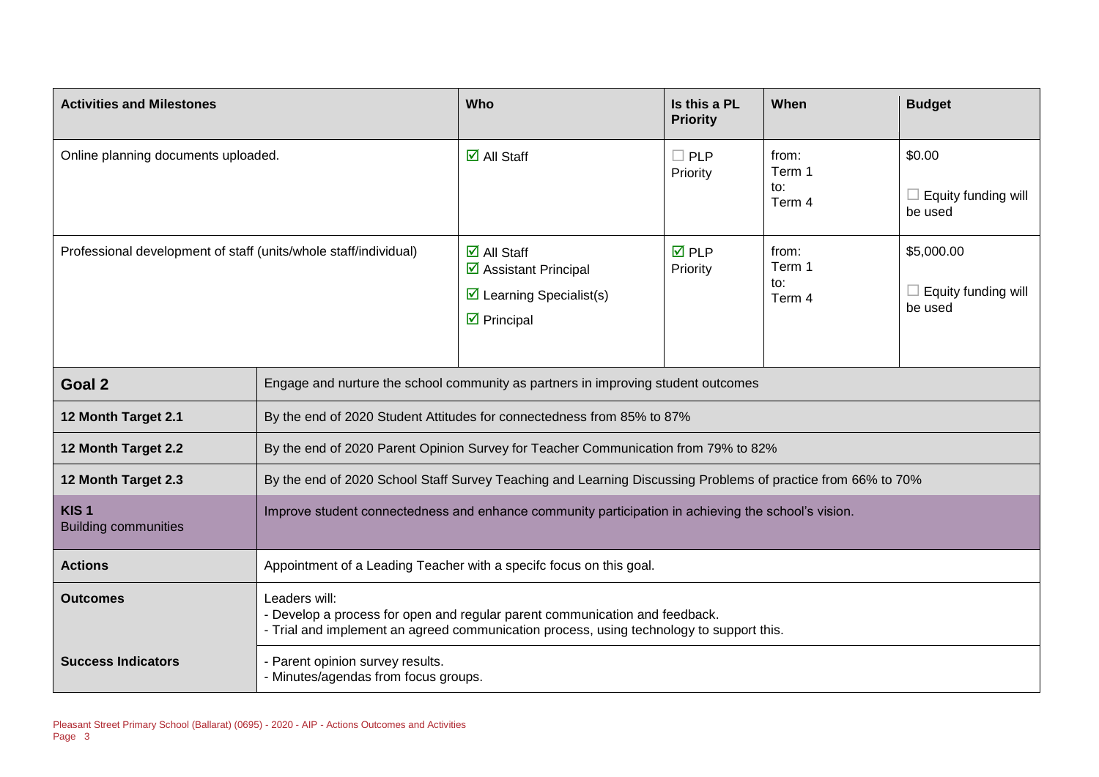| <b>Activities and Milestones</b>                                 |                                                                                                                                                                                          | Who                                                                                                                                 | Is this a PL<br><b>Priority</b> | When                             | <b>Budget</b>                                |  |
|------------------------------------------------------------------|------------------------------------------------------------------------------------------------------------------------------------------------------------------------------------------|-------------------------------------------------------------------------------------------------------------------------------------|---------------------------------|----------------------------------|----------------------------------------------|--|
| Online planning documents uploaded.                              |                                                                                                                                                                                          | $\overline{\mathbf{M}}$ All Staff                                                                                                   | $\Box$ PLP<br>Priority          | from:<br>Term 1<br>to:<br>Term 4 | \$0.00<br>Equity funding will<br>be used     |  |
| Professional development of staff (units/whole staff/individual) |                                                                                                                                                                                          | $\overline{\mathsf{M}}$ All Staff<br>☑ Assistant Principal<br>$\triangleright$ Learning Specialist(s)<br>$\triangleright$ Principal | $\overline{M}$ PLP<br>Priority  | from:<br>Term 1<br>to:<br>Term 4 | \$5,000.00<br>Equity funding will<br>be used |  |
| Goal 2                                                           |                                                                                                                                                                                          | Engage and nurture the school community as partners in improving student outcomes                                                   |                                 |                                  |                                              |  |
| 12 Month Target 2.1                                              | By the end of 2020 Student Attitudes for connectedness from 85% to 87%                                                                                                                   |                                                                                                                                     |                                 |                                  |                                              |  |
| 12 Month Target 2.2                                              | By the end of 2020 Parent Opinion Survey for Teacher Communication from 79% to 82%                                                                                                       |                                                                                                                                     |                                 |                                  |                                              |  |
| 12 Month Target 2.3                                              | By the end of 2020 School Staff Survey Teaching and Learning Discussing Problems of practice from 66% to 70%                                                                             |                                                                                                                                     |                                 |                                  |                                              |  |
| KIS <sub>1</sub><br><b>Building communities</b>                  | Improve student connectedness and enhance community participation in achieving the school's vision.                                                                                      |                                                                                                                                     |                                 |                                  |                                              |  |
| <b>Actions</b>                                                   | Appointment of a Leading Teacher with a specifc focus on this goal.                                                                                                                      |                                                                                                                                     |                                 |                                  |                                              |  |
| <b>Outcomes</b>                                                  | Leaders will:<br>- Develop a process for open and regular parent communication and feedback.<br>- Trial and implement an agreed communication process, using technology to support this. |                                                                                                                                     |                                 |                                  |                                              |  |
| <b>Success Indicators</b>                                        | Parent opinion survey results.<br>- Minutes/agendas from focus groups.                                                                                                                   |                                                                                                                                     |                                 |                                  |                                              |  |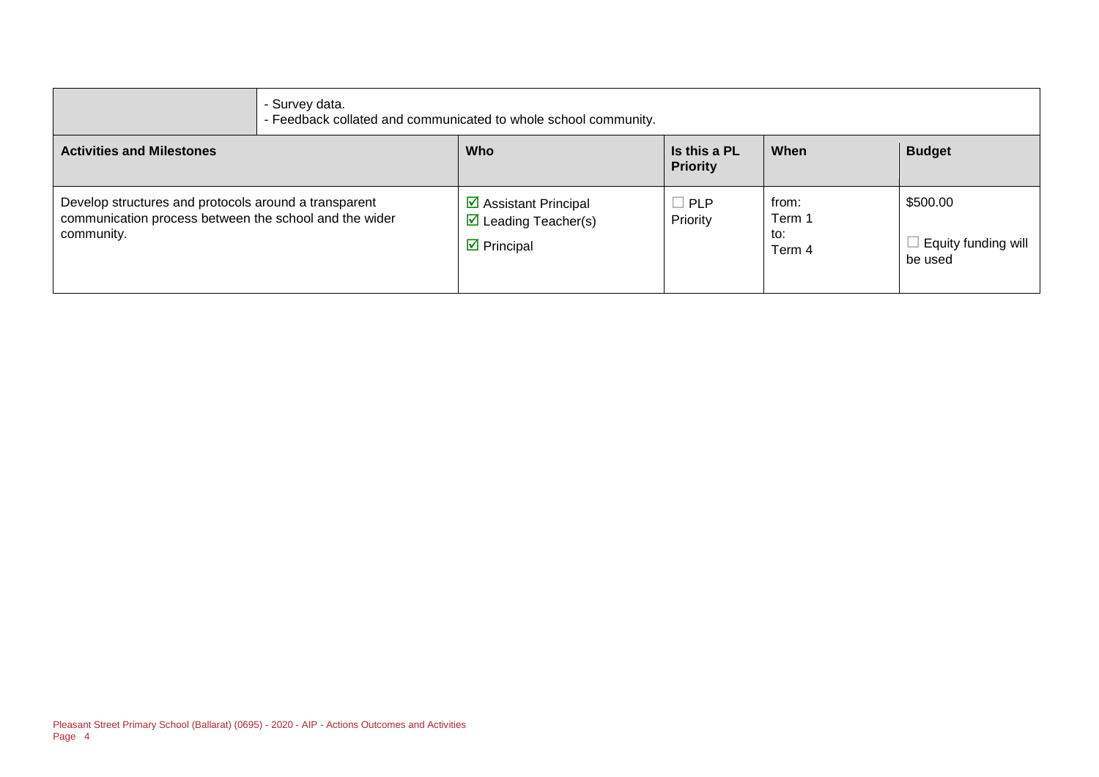|                                                                                                                               | - Survey data.<br>- Feedback collated and communicated to whole school community. |                                                                                                                  |                                 |                                  |                                            |
|-------------------------------------------------------------------------------------------------------------------------------|-----------------------------------------------------------------------------------|------------------------------------------------------------------------------------------------------------------|---------------------------------|----------------------------------|--------------------------------------------|
| <b>Activities and Milestones</b>                                                                                              |                                                                                   | <b>Who</b>                                                                                                       | Is this a PL<br><b>Priority</b> | When                             | <b>Budget</b>                              |
| Develop structures and protocols around a transparent<br>communication process between the school and the wider<br>community. |                                                                                   | $\triangleright$ Assistant Principal<br>$\triangleright$ Leading Teacher(s)<br>$\overline{\mathbf{y}}$ Principal | $\Box$ PLP<br>Priority          | from:<br>Term 1<br>to:<br>Term 4 | \$500.00<br>Equity funding will<br>be used |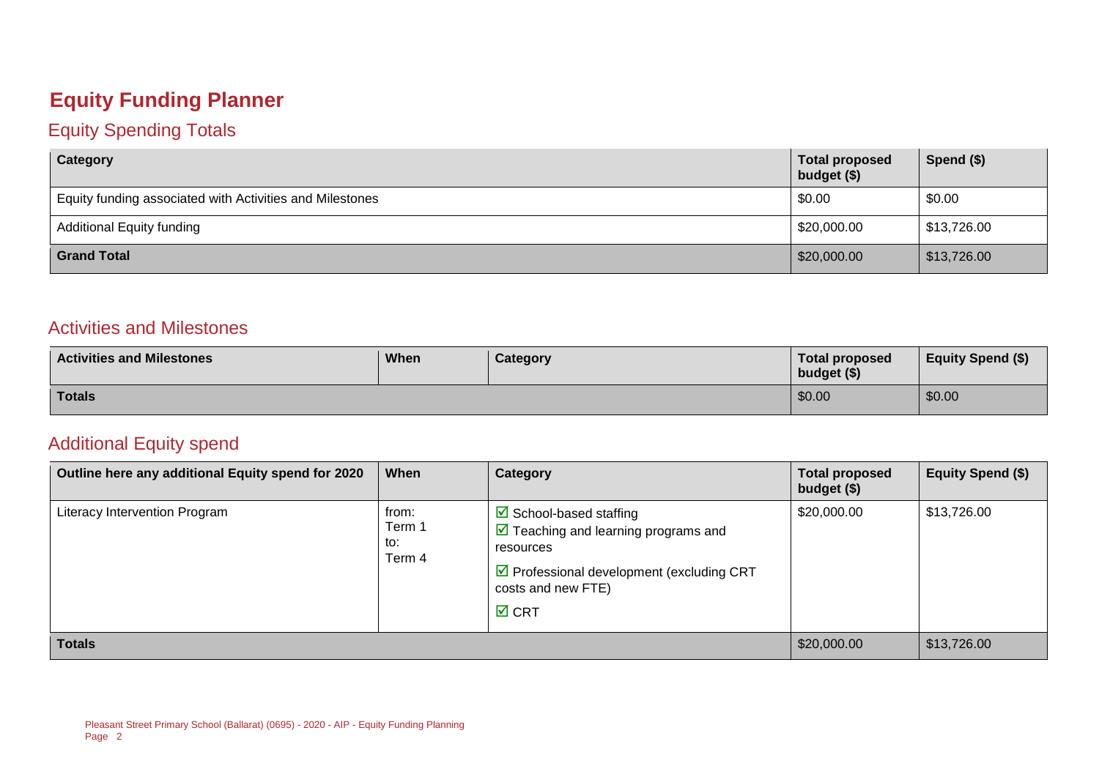### **Equity Funding Planner**

#### Equity Spending Totals

| Category                                                 | <b>Total proposed</b><br>budget (\$) | Spend (\$)  |
|----------------------------------------------------------|--------------------------------------|-------------|
| Equity funding associated with Activities and Milestones | \$0.00                               | \$0.00      |
| <b>Additional Equity funding</b>                         | \$20,000.00                          | \$13,726.00 |
| <b>Grand Total</b>                                       | \$20,000.00                          | \$13,726.00 |

#### Activities and Milestones

| <b>Activities and Milestones</b> | When | Category | <b>Total proposed</b><br>budget (\$) | <b>Equity Spend (\$)</b> |
|----------------------------------|------|----------|--------------------------------------|--------------------------|
| <b>Totals</b>                    |      |          | \$0.00                               | \$0.00                   |

#### Additional Equity spend

| Outline here any additional Equity spend for 2020 | When                             | Category                                                                                                                                                                                                              | <b>Total proposed</b><br>budget (\$) | Equity Spend (\$) |
|---------------------------------------------------|----------------------------------|-----------------------------------------------------------------------------------------------------------------------------------------------------------------------------------------------------------------------|--------------------------------------|-------------------|
| Literacy Intervention Program                     | from:<br>Term 1<br>to:<br>Term 4 | $\boxtimes$ School-based staffing<br>$\triangledown$ Teaching and learning programs and<br>resources<br>$\triangleright$ Professional development (excluding CRT<br>costs and new FTE)<br>$\overline{\mathsf{M}}$ CRT | \$20,000.00                          | \$13,726.00       |
| <b>Totals</b>                                     |                                  |                                                                                                                                                                                                                       | \$20,000.00                          | \$13,726.00       |